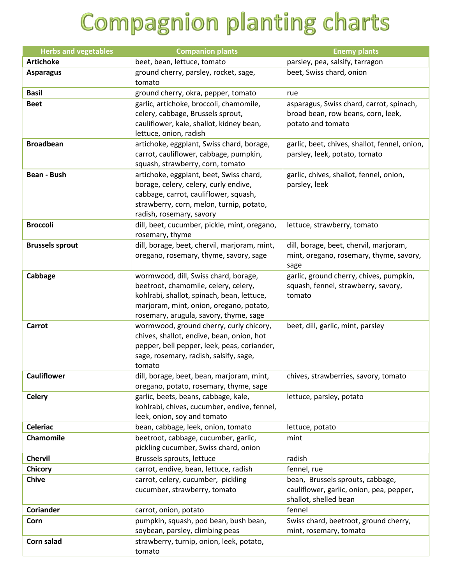## **Compagnion planting charts**

| <b>Herbs and vegetables</b> | <b>Companion plants</b>                                                                                                                                                                                         | <b>Enemy plants</b>                                                                                   |
|-----------------------------|-----------------------------------------------------------------------------------------------------------------------------------------------------------------------------------------------------------------|-------------------------------------------------------------------------------------------------------|
| <b>Artichoke</b>            | beet, bean, lettuce, tomato                                                                                                                                                                                     | parsley, pea, salsify, tarragon                                                                       |
| <b>Asparagus</b>            | ground cherry, parsley, rocket, sage,<br>tomato                                                                                                                                                                 | beet, Swiss chard, onion                                                                              |
| <b>Basil</b>                | ground cherry, okra, pepper, tomato                                                                                                                                                                             | rue                                                                                                   |
| <b>Beet</b>                 | garlic, artichoke, broccoli, chamomile,<br>celery, cabbage, Brussels sprout,<br>cauliflower, kale, shallot, kidney bean,<br>lettuce, onion, radish                                                              | asparagus, Swiss chard, carrot, spinach,<br>broad bean, row beans, corn, leek,<br>potato and tomato   |
| <b>Broadbean</b>            | artichoke, eggplant, Swiss chard, borage,<br>carrot, cauliflower, cabbage, pumpkin,<br>squash, strawberry, corn, tomato                                                                                         | garlic, beet, chives, shallot, fennel, onion,<br>parsley, leek, potato, tomato                        |
| <b>Bean - Bush</b>          | artichoke, eggplant, beet, Swiss chard,<br>borage, celery, celery, curly endive,<br>cabbage, carrot, cauliflower, squash,<br>strawberry, corn, melon, turnip, potato,<br>radish, rosemary, savory               | garlic, chives, shallot, fennel, onion,<br>parsley, leek                                              |
| <b>Broccoli</b>             | dill, beet, cucumber, pickle, mint, oregano,<br>rosemary, thyme                                                                                                                                                 | lettuce, strawberry, tomato                                                                           |
| <b>Brussels sprout</b>      | dill, borage, beet, chervil, marjoram, mint,<br>oregano, rosemary, thyme, savory, sage                                                                                                                          | dill, borage, beet, chervil, marjoram,<br>mint, oregano, rosemary, thyme, savory,<br>sage             |
| Cabbage                     | wormwood, dill, Swiss chard, borage,<br>beetroot, chamomile, celery, celery,<br>kohlrabi, shallot, spinach, bean, lettuce,<br>marjoram, mint, onion, oregano, potato,<br>rosemary, arugula, savory, thyme, sage | garlic, ground cherry, chives, pumpkin,<br>squash, fennel, strawberry, savory,<br>tomato              |
| Carrot                      | wormwood, ground cherry, curly chicory,<br>chives, shallot, endive, bean, onion, hot<br>pepper, bell pepper, leek, peas, coriander,<br>sage, rosemary, radish, salsify, sage,<br>tomato                         | beet, dill, garlic, mint, parsley                                                                     |
| <b>Cauliflower</b>          | dill, borage, beet, bean, marjoram, mint,<br>oregano, potato, rosemary, thyme, sage                                                                                                                             | chives, strawberries, savory, tomato                                                                  |
| <b>Celery</b>               | garlic, beets, beans, cabbage, kale,<br>kohlrabi, chives, cucumber, endive, fennel,<br>leek, onion, soy and tomato                                                                                              | lettuce, parsley, potato                                                                              |
| <b>Celeriac</b>             | bean, cabbage, leek, onion, tomato                                                                                                                                                                              | lettuce, potato                                                                                       |
| Chamomile                   | beetroot, cabbage, cucumber, garlic,<br>pickling cucumber, Swiss chard, onion                                                                                                                                   | mint                                                                                                  |
| Chervil                     | Brussels sprouts, lettuce                                                                                                                                                                                       | radish                                                                                                |
| <b>Chicory</b>              | carrot, endive, bean, lettuce, radish                                                                                                                                                                           | fennel, rue                                                                                           |
| <b>Chive</b>                | carrot, celery, cucumber, pickling<br>cucumber, strawberry, tomato                                                                                                                                              | bean, Brussels sprouts, cabbage,<br>cauliflower, garlic, onion, pea, pepper,<br>shallot, shelled bean |
| <b>Coriander</b>            | carrot, onion, potato                                                                                                                                                                                           | fennel                                                                                                |
| Corn                        | pumpkin, squash, pod bean, bush bean,<br>soybean, parsley, climbing peas                                                                                                                                        | Swiss chard, beetroot, ground cherry,<br>mint, rosemary, tomato                                       |
| Corn salad                  | strawberry, turnip, onion, leek, potato,<br>tomato                                                                                                                                                              |                                                                                                       |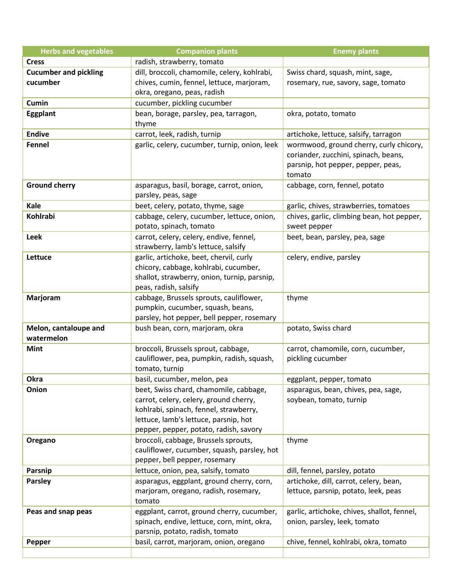| <b>Herbs and vegetables</b>  | <b>Companion plants</b>                                                           | <b>Enemy plants</b>                                     |
|------------------------------|-----------------------------------------------------------------------------------|---------------------------------------------------------|
| <b>Cress</b>                 | radish, strawberry, tomato                                                        |                                                         |
| <b>Cucumber and pickling</b> | dill, broccoli, chamomile, celery, kohlrabi,                                      | Swiss chard, squash, mint, sage,                        |
| cucumber                     | chives, cumin, fennel, lettuce, marjoram,                                         | rosemary, rue, savory, sage, tomato                     |
|                              | okra, oregano, peas, radish                                                       |                                                         |
| Cumin                        | cucumber, pickling cucumber                                                       |                                                         |
| <b>Eggplant</b>              | bean, borage, parsley, pea, tarragon,                                             | okra, potato, tomato                                    |
|                              | thyme                                                                             |                                                         |
| <b>Endive</b>                | carrot, leek, radish, turnip                                                      | artichoke, lettuce, salsify, tarragon                   |
| Fennel                       | garlic, celery, cucumber, turnip, onion, leek                                     | wormwood, ground cherry, curly chicory,                 |
|                              |                                                                                   | coriander, zucchini, spinach, beans,                    |
|                              |                                                                                   | parsnip, hot pepper, pepper, peas,                      |
|                              |                                                                                   | tomato                                                  |
| <b>Ground cherry</b>         | asparagus, basil, borage, carrot, onion,                                          | cabbage, corn, fennel, potato                           |
|                              | parsley, peas, sage                                                               |                                                         |
| Kale                         | beet, celery, potato, thyme, sage                                                 | garlic, chives, strawberries, tomatoes                  |
| Kohlrabi                     | cabbage, celery, cucumber, lettuce, onion,                                        | chives, garlic, climbing bean, hot pepper,              |
|                              | potato, spinach, tomato                                                           | sweet pepper                                            |
| <b>Leek</b>                  | carrot, celery, celery, endive, fennel,                                           | beet, bean, parsley, pea, sage                          |
|                              | strawberry, lamb's lettuce, salsify                                               |                                                         |
| Lettuce                      | garlic, artichoke, beet, chervil, curly                                           | celery, endive, parsley                                 |
|                              | chicory, cabbage, kohlrabi, cucumber,                                             |                                                         |
|                              | shallot, strawberry, onion, turnip, parsnip,                                      |                                                         |
|                              | peas, radish, salsify                                                             |                                                         |
| Marjoram                     | cabbage, Brussels sprouts, cauliflower,                                           | thyme                                                   |
|                              | pumpkin, cucumber, squash, beans,                                                 |                                                         |
|                              | parsley, hot pepper, bell pepper, rosemary                                        |                                                         |
| Melon, cantaloupe and        | bush bean, corn, marjoram, okra                                                   | potato, Swiss chard                                     |
| watermelon                   |                                                                                   |                                                         |
| <b>Mint</b>                  | broccoli, Brussels sprout, cabbage,<br>cauliflower, pea, pumpkin, radish, squash, | carrot, chamomile, corn, cucumber,<br>pickling cucumber |
|                              | tomato, turnip                                                                    |                                                         |
| Okra                         | basil, cucumber, melon, pea                                                       | eggplant, pepper, tomato                                |
| Onion                        | beet, Swiss chard, chamomile, cabbage,                                            | asparagus, bean, chives, pea, sage,                     |
|                              | carrot, celery, celery, ground cherry,                                            | soybean, tomato, turnip                                 |
|                              | kohlrabi, spinach, fennel, strawberry,                                            |                                                         |
|                              | lettuce, lamb's lettuce, parsnip, hot                                             |                                                         |
|                              | pepper, pepper, potato, radish, savory                                            |                                                         |
| Oregano                      | broccoli, cabbage, Brussels sprouts,                                              | thyme                                                   |
|                              | cauliflower, cucumber, squash, parsley, hot                                       |                                                         |
|                              | pepper, bell pepper, rosemary                                                     |                                                         |
| <b>Parsnip</b>               | lettuce, onion, pea, salsify, tomato                                              | dill, fennel, parsley, potato                           |
| <b>Parsley</b>               | asparagus, eggplant, ground cherry, corn,                                         | artichoke, dill, carrot, celery, bean,                  |
|                              | marjoram, oregano, radish, rosemary,                                              | lettuce, parsnip, potato, leek, peas                    |
|                              | tomato                                                                            |                                                         |
| Peas and snap peas           | eggplant, carrot, ground cherry, cucumber,                                        | garlic, artichoke, chives, shallot, fennel,             |
|                              | spinach, endive, lettuce, corn, mint, okra,                                       | onion, parsley, leek, tomato                            |
|                              | parsnip, potato, radish, tomato                                                   |                                                         |
| Pepper                       | basil, carrot, marjoram, onion, oregano                                           | chive, fennel, kohlrabi, okra, tomato                   |
|                              |                                                                                   |                                                         |